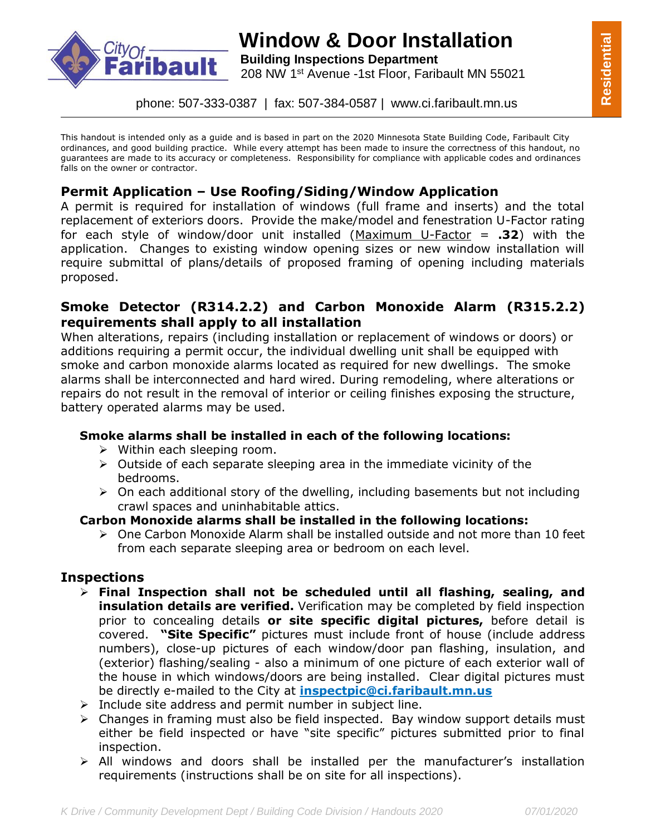

# **Window & Door Installation**

**bault** Building Inspections Department 208 NW 1st Avenue -1st Floor, Faribault MN 55021

phone: 507-333-0387 | fax: 507-384-0587 | www.ci.faribault.mn.us

This handout is intended only as a guide and is based in part on the 2020 Minnesota State Building Code, Faribault City ordinances, and good building practice. While every attempt has been made to insure the correctness of this handout, no guarantees are made to its accuracy or completeness. Responsibility for compliance with applicable codes and ordinances falls on the owner or contractor.

# **Permit Application – Use Roofing/Siding/Window Application**

A permit is required for installation of windows (full frame and inserts) and the total replacement of exteriors doors. Provide the make/model and fenestration U-Factor rating for each style of window/door unit installed (Maximum U-Factor = **.32**) with the application. Changes to existing window opening sizes or new window installation will require submittal of plans/details of proposed framing of opening including materials proposed.

## **Smoke Detector (R314.2.2) and Carbon Monoxide Alarm (R315.2.2) requirements shall apply to all installation**

When alterations, repairs (including installation or replacement of windows or doors) or additions requiring a permit occur, the individual dwelling unit shall be equipped with smoke and carbon monoxide alarms located as required for new dwellings. The smoke alarms shall be interconnected and hard wired. During remodeling, where alterations or repairs do not result in the removal of interior or ceiling finishes exposing the structure, battery operated alarms may be used.

#### **Smoke alarms shall be installed in each of the following locations:**

- $\triangleright$  Within each sleeping room.
- $\triangleright$  Outside of each separate sleeping area in the immediate vicinity of the bedrooms.
- $\triangleright$  On each additional story of the dwelling, including basements but not including crawl spaces and uninhabitable attics.

#### **Carbon Monoxide alarms shall be installed in the following locations:**

 $\triangleright$  One Carbon Monoxide Alarm shall be installed outside and not more than 10 feet from each separate sleeping area or bedroom on each level.

#### **Inspections**

- **Final Inspection shall not be scheduled until all flashing, sealing, and insulation details are verified.** Verification may be completed by field inspection prior to concealing details **or site specific digital pictures,** before detail is covered. **"Site Specific"** pictures must include front of house (include address numbers), close-up pictures of each window/door pan flashing, insulation, and (exterior) flashing/sealing - also a minimum of one picture of each exterior wall of the house in which windows/doors are being installed. Clear digital pictures must be directly e-mailed to the City at **inspectpic@ci.faribault.mn.us**
- $\triangleright$  Include site address and permit number in subject line.
- $\triangleright$  Changes in framing must also be field inspected. Bay window support details must either be field inspected or have "site specific" pictures submitted prior to final inspection.
- $\triangleright$  All windows and doors shall be installed per the manufacturer's installation requirements (instructions shall be on site for all inspections).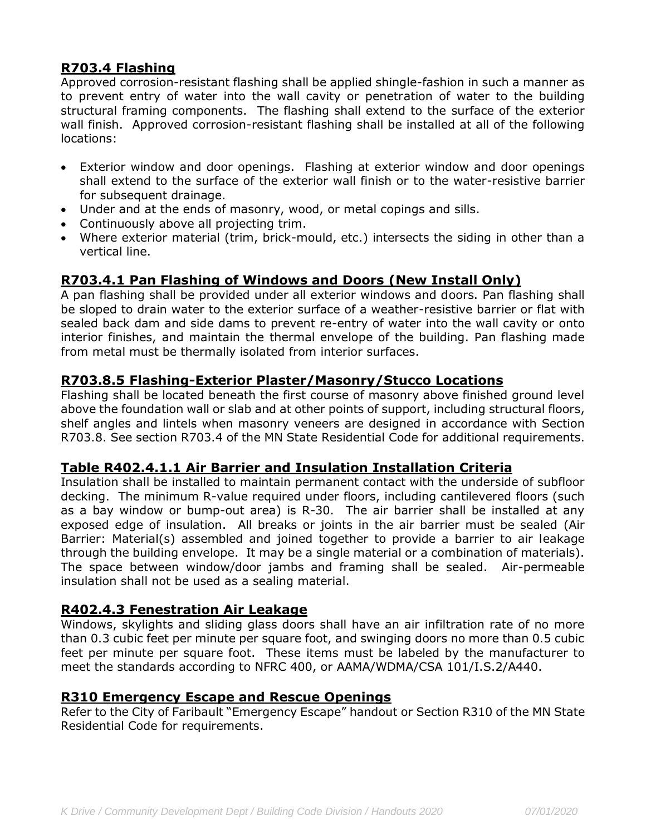# **R703.4 Flashing**

Approved corrosion-resistant flashing shall be applied shingle-fashion in such a manner as to prevent entry of water into the wall cavity or penetration of water to the building structural framing components. The flashing shall extend to the surface of the exterior wall finish. Approved corrosion-resistant flashing shall be installed at all of the following locations:

- Exterior window and door openings. Flashing at exterior window and door openings shall extend to the surface of the exterior wall finish or to the water-resistive barrier for subsequent drainage.
- Under and at the ends of masonry, wood, or metal copings and sills.
- Continuously above all projecting trim.
- Where exterior material (trim, brick-mould, etc.) intersects the siding in other than a vertical line.

# **R703.4.1 Pan Flashing of Windows and Doors (New Install Only)**

A pan flashing shall be provided under all exterior windows and doors. Pan flashing shall be sloped to drain water to the exterior surface of a weather-resistive barrier or flat with sealed back dam and side dams to prevent re-entry of water into the wall cavity or onto interior finishes, and maintain the thermal envelope of the building. Pan flashing made from metal must be thermally isolated from interior surfaces.

## **R703.8.5 Flashing-Exterior Plaster/Masonry/Stucco Locations**

Flashing shall be located beneath the first course of masonry above finished ground level above the foundation wall or slab and at other points of support, including structural floors, shelf angles and lintels when masonry veneers are designed in accordance with Section R703.8. See section R703.4 of the MN State Residential Code for additional requirements.

## **Table R402.4.1.1 Air Barrier and Insulation Installation Criteria**

Insulation shall be installed to maintain permanent contact with the underside of subfloor decking. The minimum R-value required under floors, including cantilevered floors (such as a bay window or bump-out area) is R-30. The air barrier shall be installed at any exposed edge of insulation. All breaks or joints in the air barrier must be sealed (Air Barrier: Material(s) assembled and joined together to provide a barrier to air leakage through the building envelope. It may be a single material or a combination of materials). The space between window/door jambs and framing shall be sealed. Air-permeable insulation shall not be used as a sealing material.

## **R402.4.3 Fenestration Air Leakage**

Windows, skylights and sliding glass doors shall have an air infiltration rate of no more than 0.3 cubic feet per minute per square foot, and swinging doors no more than 0.5 cubic feet per minute per square foot. These items must be labeled by the manufacturer to meet the standards according to NFRC 400, or AAMA/WDMA/CSA 101/I.S.2/A440.

#### **R310 Emergency Escape and Rescue Openings**

Refer to the City of Faribault "Emergency Escape" handout or Section R310 of the MN State Residential Code for requirements.